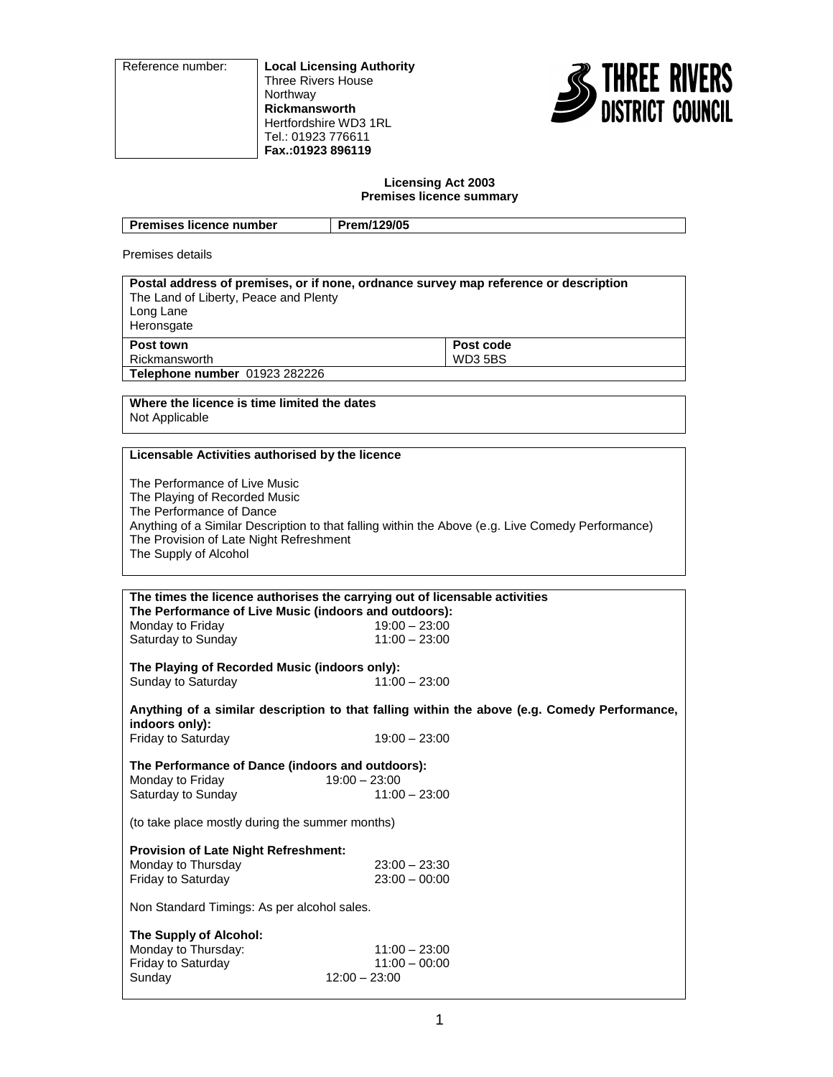Reference number: **Local Licensing Authority** Three Rivers House Northway **Rickmansworth** Hertfordshire WD3 1RL Tel.: 01923 776611 **Fax.:01923 896119**



# **Licensing Act 2003 Premises licence summary**

| <b>Premises licence number</b>                                   | Prem/129/05                                                                          |
|------------------------------------------------------------------|--------------------------------------------------------------------------------------|
| Premises details                                                 |                                                                                      |
| The Land of Liberty, Peace and Plenty<br>Long Lane<br>Heronsgate | Postal address of premises, or if none, ordnance survey map reference or description |
| Post town                                                        | Post code                                                                            |
| Rickmansworth                                                    | <b>WD35BS</b>                                                                        |
| Telephone number 01923 282226                                    |                                                                                      |
|                                                                  |                                                                                      |
| Where the licence is time limited the dates                      |                                                                                      |
| Not Applicable                                                   |                                                                                      |
|                                                                  |                                                                                      |

# **Licensable Activities authorised by the licence**

The Performance of Live Music The Playing of Recorded Music The Performance of Dance Anything of a Similar Description to that falling within the Above (e.g. Live Comedy Performance) The Provision of Late Night Refreshment The Supply of Alcohol

| The times the licence authorises the carrying out of licensable activities<br>The Performance of Live Music (indoors and outdoors): |                                                       |  |
|-------------------------------------------------------------------------------------------------------------------------------------|-------------------------------------------------------|--|
| Monday to Friday                                                                                                                    | $19:00 - 23:00$                                       |  |
| Saturday to Sunday                                                                                                                  | $11:00 - 23:00$                                       |  |
|                                                                                                                                     |                                                       |  |
| The Playing of Recorded Music (indoors only):                                                                                       |                                                       |  |
| Sunday to Saturday                                                                                                                  | $11:00 - 23:00$                                       |  |
| Anything of a similar description to that falling within the above (e.g. Comedy Performance,<br>indoors only):                      |                                                       |  |
| Friday to Saturday                                                                                                                  | $19:00 - 23:00$                                       |  |
|                                                                                                                                     |                                                       |  |
| The Performance of Dance (indoors and outdoors):<br>$19:00 - 23:00$<br>Monday to Friday                                             |                                                       |  |
|                                                                                                                                     |                                                       |  |
| Saturday to Sunday                                                                                                                  | $11:00 - 23:00$                                       |  |
| (to take place mostly during the summer months)                                                                                     |                                                       |  |
| <b>Provision of Late Night Refreshment:</b>                                                                                         |                                                       |  |
| Monday to Thursday                                                                                                                  | $23:00 - 23:30$                                       |  |
|                                                                                                                                     |                                                       |  |
| <b>Friday to Saturday</b>                                                                                                           | $23:00 - 00:00$                                       |  |
| Non Standard Timings: As per alcohol sales.                                                                                         |                                                       |  |
| The Supply of Alcohol:<br>Monday to Thursday:<br>Friday to Saturday<br>Sunday                                                       | $11:00 - 23:00$<br>$11:00 - 00:00$<br>$12:00 - 23:00$ |  |
|                                                                                                                                     |                                                       |  |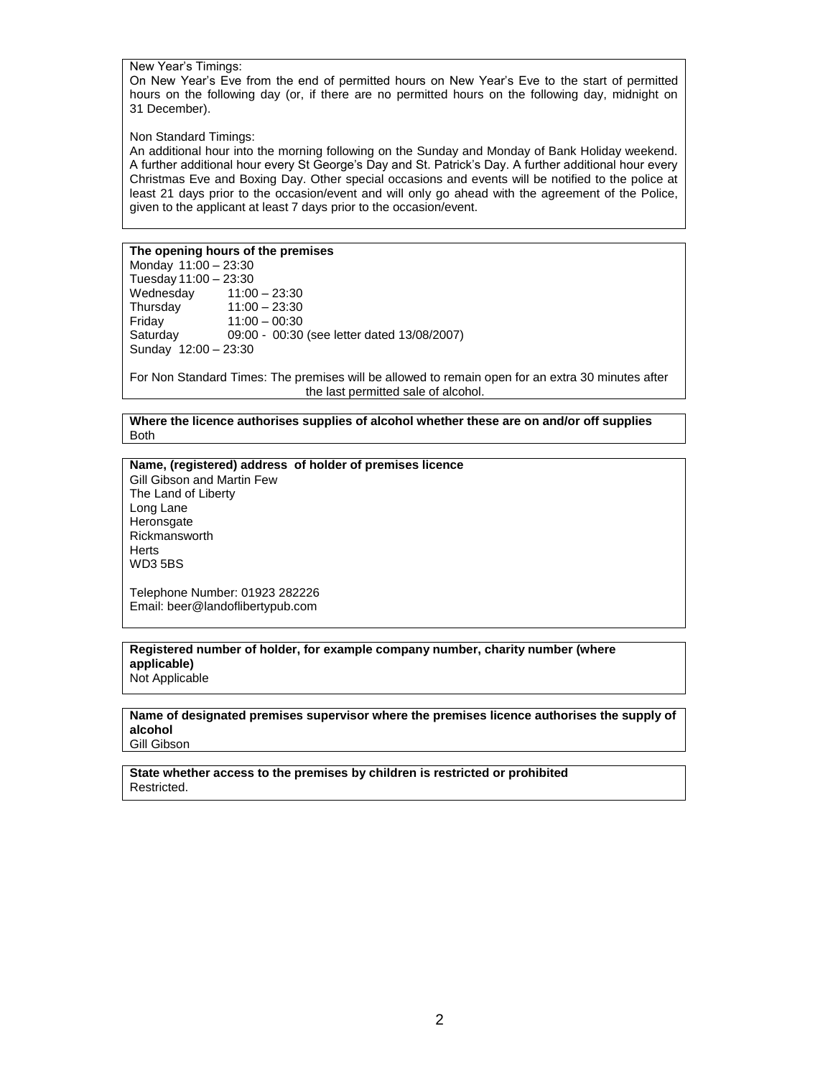New Year's Timings:

On New Year's Eve from the end of permitted hours on New Year's Eve to the start of permitted hours on the following day (or, if there are no permitted hours on the following day, midnight on 31 December).

Non Standard Timings:

An additional hour into the morning following on the Sunday and Monday of Bank Holiday weekend. A further additional hour every St George's Day and St. Patrick's Day. A further additional hour every Christmas Eve and Boxing Day. Other special occasions and events will be notified to the police at least 21 days prior to the occasion/event and will only go ahead with the agreement of the Police, given to the applicant at least 7 days prior to the occasion/event.

# **The opening hours of the premises**

Monday 11:00 – 23:30 Tuesday 11:00 – 23:30 Wednesday 11:00 – 23:30<br>Thursday 11:00 – 23:30 Thursday 11:00 – 23:30<br>Friday 11:00 – 00:30 Friday 11:00 – 00:30<br>Saturday 09:00 - 00:30 09:00 - 00:30 (see letter dated 13/08/2007) Sunday 12:00 – 23:30

For Non Standard Times: The premises will be allowed to remain open for an extra 30 minutes after the last permitted sale of alcohol.

**Where the licence authorises supplies of alcohol whether these are on and/or off supplies** Both

**Name, (registered) address of holder of premises licence**

Gill Gibson and Martin Few The Land of Liberty Long Lane **Heronsgate** Rickmansworth **Herts** WD3 5BS

Telephone Number: 01923 282226 Email: beer@landoflibertypub.com

#### **Registered number of holder, for example company number, charity number (where applicable)** Not Applicable

**Name of designated premises supervisor where the premises licence authorises the supply of alcohol**

Gill Gibson

**State whether access to the premises by children is restricted or prohibited** Restricted.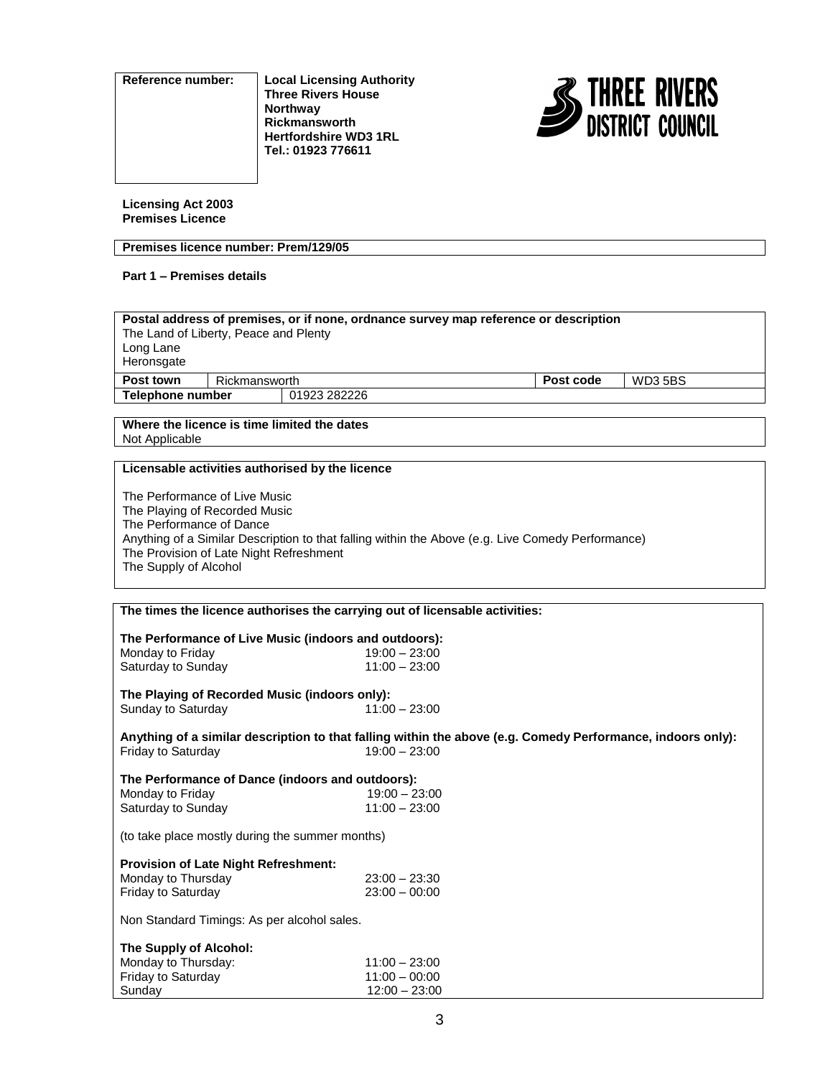**Reference number: Local Licensing Authority Three Rivers House Northway Rickmansworth Hertfordshire WD3 1RL Tel.: 01923 776611**



**Licensing Act 2003 Premises Licence**

# **Premises licence number: Prem/129/05**

# **Part 1 – Premises details**

| Postal address of premises, or if none, ordnance survey map reference or description<br>The Land of Liberty, Peace and Plenty<br>Long Lane<br>Heronsgate |               |  |           |                |
|----------------------------------------------------------------------------------------------------------------------------------------------------------|---------------|--|-----------|----------------|
| Post town                                                                                                                                                | Rickmansworth |  | Post code | <b>WD3 5BS</b> |
| Telephone number<br>01923 282226                                                                                                                         |               |  |           |                |
|                                                                                                                                                          |               |  |           |                |

## **Where the licence is time limited the dates** Not Applicable

# **Licensable activities authorised by the licence**

The Performance of Live Music The Playing of Recorded Music The Performance of Dance Anything of a Similar Description to that falling within the Above (e.g. Live Comedy Performance) The Provision of Late Night Refreshment The Supply of Alcohol

| The times the licence authorises the carrying out of licensable activities:                                 |                 |  |  |  |  |
|-------------------------------------------------------------------------------------------------------------|-----------------|--|--|--|--|
|                                                                                                             |                 |  |  |  |  |
| The Performance of Live Music (indoors and outdoors):                                                       |                 |  |  |  |  |
| Monday to Friday                                                                                            | $19:00 - 23:00$ |  |  |  |  |
| Saturday to Sunday                                                                                          | $11:00 - 23:00$ |  |  |  |  |
| The Playing of Recorded Music (indoors only):                                                               |                 |  |  |  |  |
| Sunday to Saturday                                                                                          | $11:00 - 23:00$ |  |  |  |  |
| Anything of a similar description to that falling within the above (e.g. Comedy Performance, indoors only): |                 |  |  |  |  |
| Friday to Saturday                                                                                          | $19:00 - 23:00$ |  |  |  |  |
| The Performance of Dance (indoors and outdoors):                                                            |                 |  |  |  |  |
| Monday to Friday                                                                                            | $19:00 - 23:00$ |  |  |  |  |
| Saturday to Sunday                                                                                          | $11:00 - 23:00$ |  |  |  |  |
| (to take place mostly during the summer months)                                                             |                 |  |  |  |  |
| <b>Provision of Late Night Refreshment:</b>                                                                 |                 |  |  |  |  |
| Monday to Thursday                                                                                          | $23:00 - 23:30$ |  |  |  |  |
| Friday to Saturday                                                                                          | $23:00 - 00:00$ |  |  |  |  |
| Non Standard Timings: As per alcohol sales.                                                                 |                 |  |  |  |  |
| The Supply of Alcohol:                                                                                      |                 |  |  |  |  |
| Monday to Thursday:                                                                                         | $11:00 - 23:00$ |  |  |  |  |
| Friday to Saturday                                                                                          | $11:00 - 00:00$ |  |  |  |  |
| Sunday                                                                                                      | $12:00 - 23:00$ |  |  |  |  |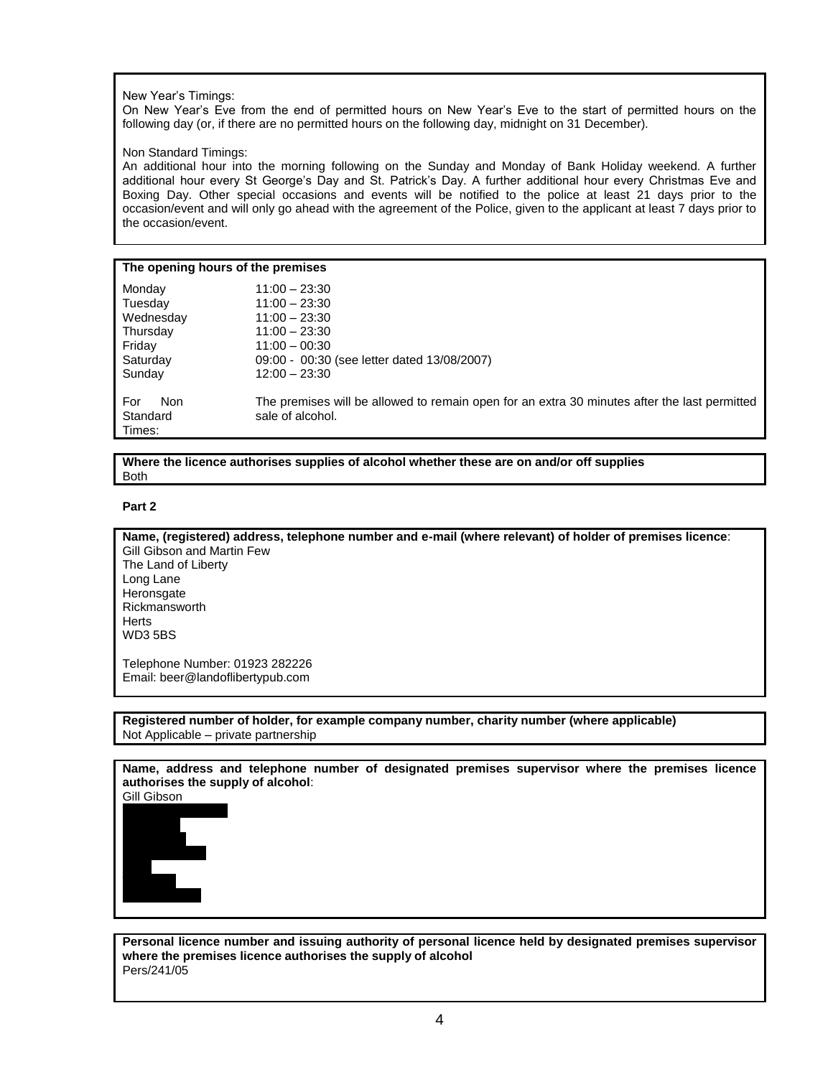## New Year's Timings:

On New Year's Eve from the end of permitted hours on New Year's Eve to the start of permitted hours on the following day (or, if there are no permitted hours on the following day, midnight on 31 December).

## Non Standard Timings:

An additional hour into the morning following on the Sunday and Monday of Bank Holiday weekend. A further additional hour every St George's Day and St. Patrick's Day. A further additional hour every Christmas Eve and Boxing Day. Other special occasions and events will be notified to the police at least 21 days prior to the occasion/event and will only go ahead with the agreement of the Police, given to the applicant at least 7 days prior to the occasion/event.

#### **The opening hours of the premises**

| Monday                           | $11:00 - 23:30$                                                                                                  |
|----------------------------------|------------------------------------------------------------------------------------------------------------------|
| Tuesday                          | $11:00 - 23:30$                                                                                                  |
| Wednesday                        | $11:00 - 23:30$                                                                                                  |
| Thursday                         | $11:00 - 23:30$                                                                                                  |
| Friday                           | $11:00 - 00:30$                                                                                                  |
| Saturday                         | 09:00 - 00:30 (see letter dated 13/08/2007)                                                                      |
| Sunday                           | $12:00 - 23:30$                                                                                                  |
| For<br>Non<br>Standard<br>Times: | The premises will be allowed to remain open for an extra 30 minutes after the last permitted<br>sale of alcohol. |

**Where the licence authorises supplies of alcohol whether these are on and/or off supplies** Both

## **Part 2**

**Name, (registered) address, telephone number and e-mail (where relevant) of holder of premises licence**: Gill Gibson and Martin Few The Land of Liberty Long Lane Heronsgate Rickmansworth **Herts** WD3 5BS

Telephone Number: 01923 282226 Email: beer@landoflibertypub.com

**Registered number of holder, for example company number, charity number (where applicable)** Not Applicable – private partnership

**Name, address and telephone number of designated premises supervisor where the premises licence authorises the supply of alcohol**:

Gill Gibson



**Personal licence number and issuing authority of personal licence held by designated premises supervisor where the premises licence authorises the supply of alcohol** Pers/241/05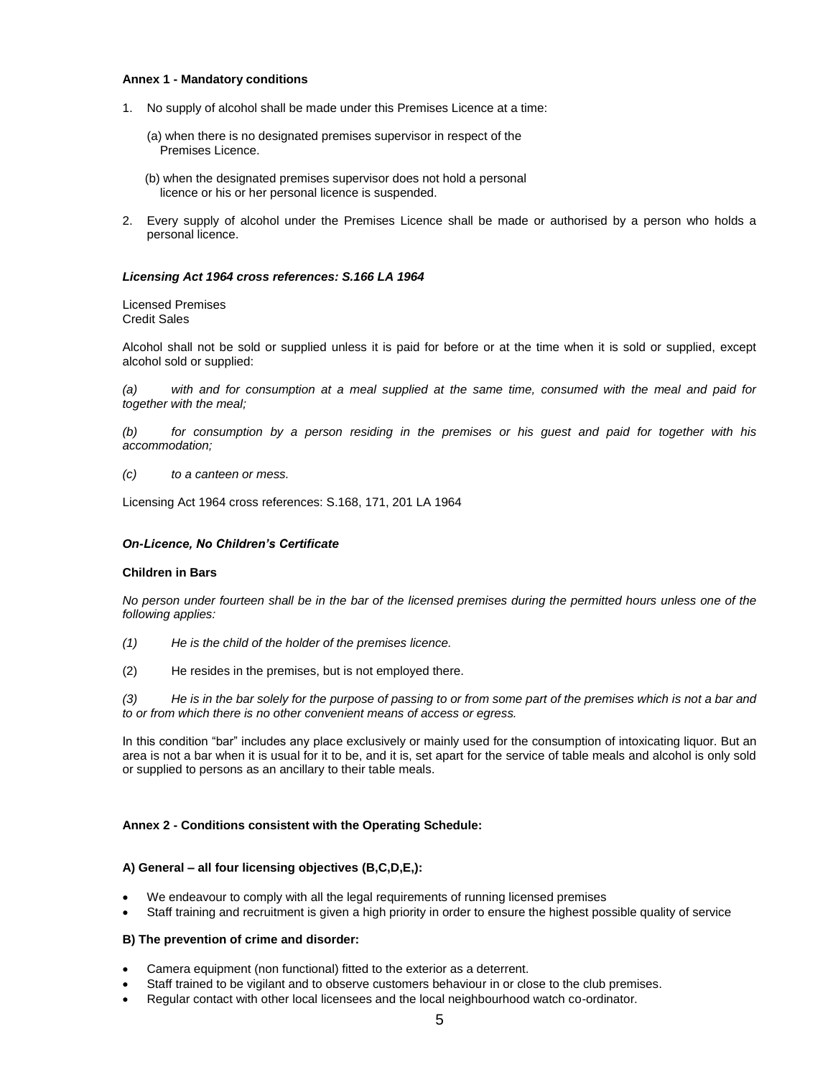## **Annex 1 - Mandatory conditions**

- 1. No supply of alcohol shall be made under this Premises Licence at a time:
	- (a) when there is no designated premises supervisor in respect of the Premises Licence.
	- (b) when the designated premises supervisor does not hold a personal licence or his or her personal licence is suspended.
- 2. Every supply of alcohol under the Premises Licence shall be made or authorised by a person who holds a personal licence.

#### *Licensing Act 1964 cross references: S.166 LA 1964*

Licensed Premises Credit Sales

Alcohol shall not be sold or supplied unless it is paid for before or at the time when it is sold or supplied, except alcohol sold or supplied:

*(a) with and for consumption at a meal supplied at the same time, consumed with the meal and paid for together with the meal;*

*(b) for consumption by a person residing in the premises or his guest and paid for together with his accommodation;*

*(c) to a canteen or mess.*

Licensing Act 1964 cross references: S.168, 171, 201 LA 1964

#### *On-Licence, No Children's Certificate*

#### **Children in Bars**

*No person under fourteen shall be in the bar of the licensed premises during the permitted hours unless one of the following applies:*

- *(1) He is the child of the holder of the premises licence.*
- (2) He resides in the premises, but is not employed there.

*(3) He is in the bar solely for the purpose of passing to or from some part of the premises which is not a bar and to or from which there is no other convenient means of access or egress.*

In this condition "bar" includes any place exclusively or mainly used for the consumption of intoxicating liquor. But an area is not a bar when it is usual for it to be, and it is, set apart for the service of table meals and alcohol is only sold or supplied to persons as an ancillary to their table meals.

#### **Annex 2 - Conditions consistent with the Operating Schedule:**

#### **A) General – all four licensing objectives (B,C,D,E,):**

- We endeavour to comply with all the legal requirements of running licensed premises
- Staff training and recruitment is given a high priority in order to ensure the highest possible quality of service

## **B) The prevention of crime and disorder:**

- Camera equipment (non functional) fitted to the exterior as a deterrent.
- Staff trained to be vigilant and to observe customers behaviour in or close to the club premises.
- Regular contact with other local licensees and the local neighbourhood watch co-ordinator.